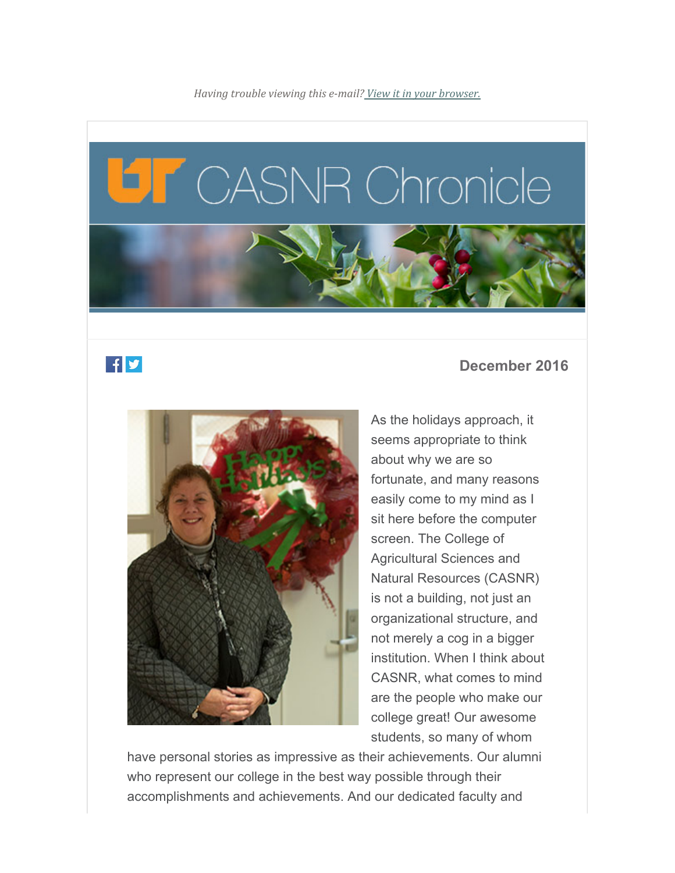*Having trouble viewing this e-mail? View it in your browser.*

# CASNR Chronicle



### $f'$

#### **December 2016**



As the holidays approach, it seems appropriate to think about why we are so fortunate, and many reasons easily come to my mind as I sit here before the computer screen. The College of Agricultural Sciences and Natural Resources (CASNR) is not a building, not just an organizational structure, and not merely a cog in a bigger institution. When I think about CASNR, what comes to mind are the people who make our college great! Our awesome students, so many of whom

have personal stories as impressive as their achievements. Our alumni who represent our college in the best way possible through their accomplishments and achievements. And our dedicated faculty and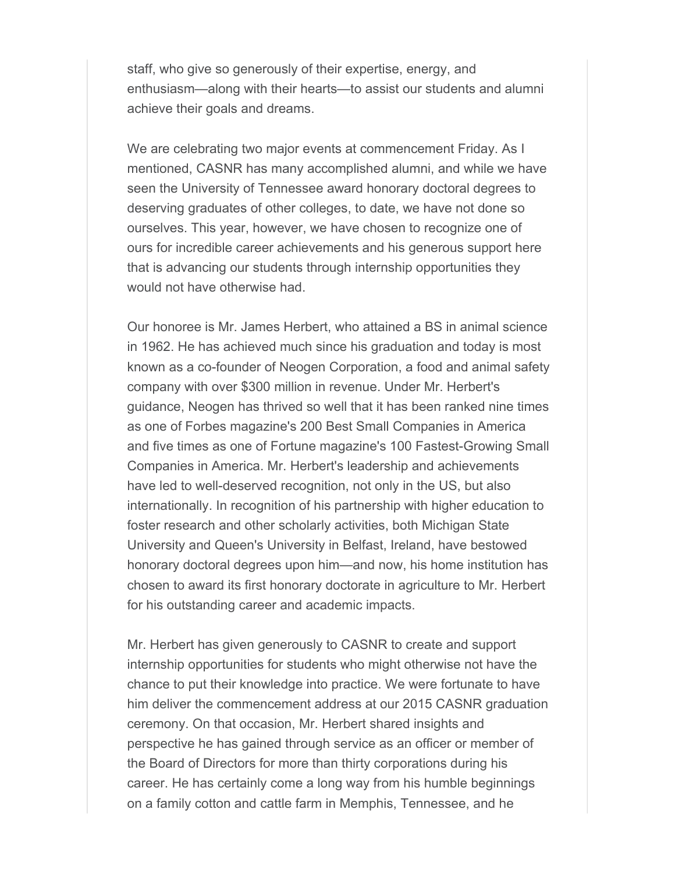staff, who give so generously of their expertise, energy, and enthusiasm—along with their hearts—to assist our students and alumni achieve their goals and dreams.

We are celebrating two major events at commencement Friday. As I mentioned, CASNR has many accomplished alumni, and while we have seen the University of Tennessee award honorary doctoral degrees to deserving graduates of other colleges, to date, we have not done so ourselves. This year, however, we have chosen to recognize one of ours for incredible career achievements and his generous support here that is advancing our students through internship opportunities they would not have otherwise had.

Our honoree is Mr. James Herbert, who attained a BS in animal science in 1962. He has achieved much since his graduation and today is most known as a co-founder of Neogen Corporation, a food and animal safety company with over \$300 million in revenue. Under Mr. Herbert's guidance, Neogen has thrived so well that it has been ranked nine times as one of Forbes magazine's 200 Best Small Companies in America and five times as one of Fortune magazine's 100 Fastest-Growing Small Companies in America. Mr. Herbert's leadership and achievements have led to well-deserved recognition, not only in the US, but also internationally. In recognition of his partnership with higher education to foster research and other scholarly activities, both Michigan State University and Queen's University in Belfast, Ireland, have bestowed honorary doctoral degrees upon him—and now, his home institution has chosen to award its first honorary doctorate in agriculture to Mr. Herbert for his outstanding career and academic impacts.

Mr. Herbert has given generously to CASNR to create and support internship opportunities for students who might otherwise not have the chance to put their knowledge into practice. We were fortunate to have him deliver the commencement address at our 2015 CASNR graduation ceremony. On that occasion, Mr. Herbert shared insights and perspective he has gained through service as an officer or member of the Board of Directors for more than thirty corporations during his career. He has certainly come a long way from his humble beginnings on a family cotton and cattle farm in Memphis, Tennessee, and he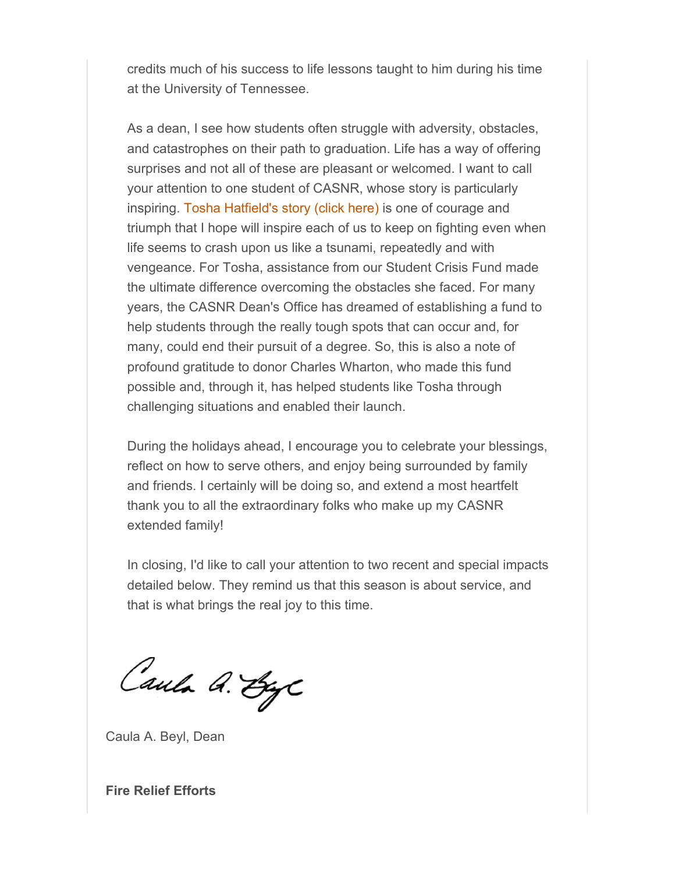credits much of his success to life lessons taught to him during his time at the University of Tennessee.

As a dean, I see how students often struggle with adversity, obstacles, and catastrophes on their path to graduation. Life has a way of offering surprises and not all of these are pleasant or welcomed. I want to call your attention to one student of CASNR, whose story is particularly inspiring. Tosha Hatfield's story (click here) is one of courage and triumph that I hope will inspire each of us to keep on fighting even when life seems to crash upon us like a tsunami, repeatedly and with vengeance. For Tosha, assistance from our Student Crisis Fund made the ultimate difference overcoming the obstacles she faced. For many years, the CASNR Dean's Office has dreamed of establishing a fund to help students through the really tough spots that can occur and, for many, could end their pursuit of a degree. So, this is also a note of profound gratitude to donor Charles Wharton, who made this fund possible and, through it, has helped students like Tosha through challenging situations and enabled their launch.

During the holidays ahead, I encourage you to celebrate your blessings, reflect on how to serve others, and enjoy being surrounded by family and friends. I certainly will be doing so, and extend a most heartfelt thank you to all the extraordinary folks who make up my CASNR extended family!

In closing, I'd like to call your attention to two recent and special impacts detailed below. They remind us that this season is about service, and that is what brings the real joy to this time.

Caula A. ByC

Caula A. Beyl, Dean

**Fire Relief Efforts**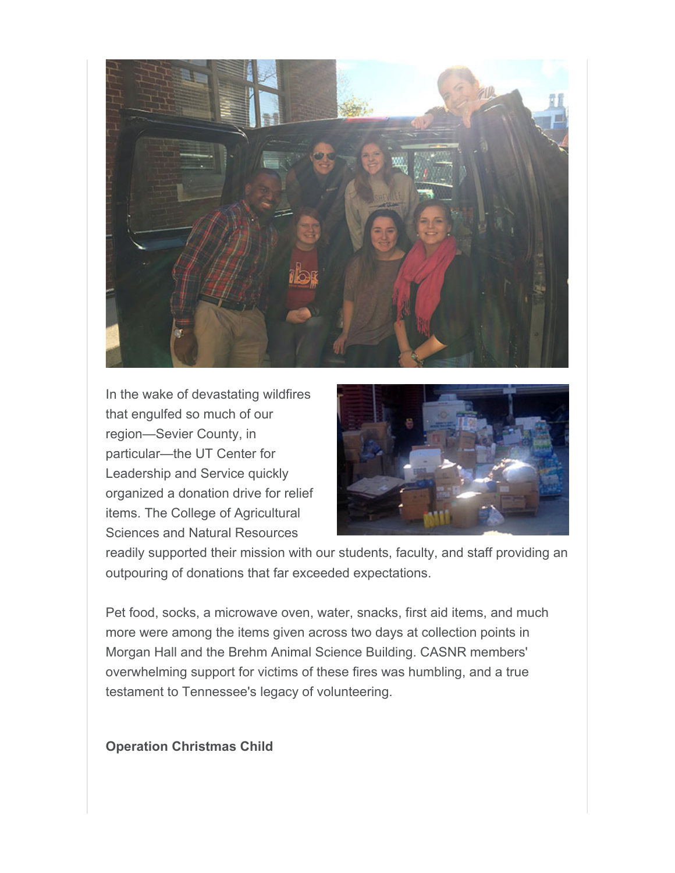

In the wake of devastating wildfires that engulfed so much of our region—Sevier County, in particular—the UT Center for Leadership and Service quickly organized a donation drive for relief items. The College of Agricultural Sciences and Natural Resources



readily supported their mission with our students, faculty, and staff providing an outpouring of donations that far exceeded expectations.

Pet food, socks, a microwave oven, water, snacks, first aid items, and much more were among the items given across two days at collection points in Morgan Hall and the Brehm Animal Science Building. CASNR members' overwhelming support for victims of these fires was humbling, and a true testament to Tennessee's legacy of volunteering.

**Operation Christmas Child**